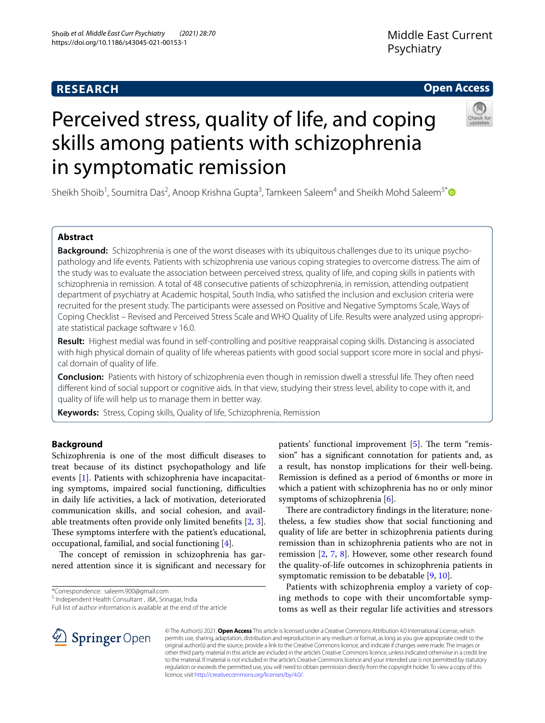# **RESEARCH**

# **Open Access**



# Perceived stress, quality of life, and coping skills among patients with schizophrenia in symptomatic remission

Sheikh Shoib<sup>1</sup>, Soumitra Das<sup>2</sup>, Anoop Krishna Gupta<sup>3</sup>, Tamkeen Saleem<sup>4</sup> and Sheikh Mohd Saleem<sup>5[\\*](http://orcid.org/0000-0001-8575-0713)</sup>

# **Abstract**

**Background:** Schizophrenia is one of the worst diseases with its ubiquitous challenges due to its unique psychopathology and life events. Patients with schizophrenia use various coping strategies to overcome distress. The aim of the study was to evaluate the association between perceived stress, quality of life, and coping skills in patients with schizophrenia in remission. A total of 48 consecutive patients of schizophrenia, in remission, attending outpatient department of psychiatry at Academic hospital, South India, who satisfed the inclusion and exclusion criteria were recruited for the present study. The participants were assessed on Positive and Negative Symptoms Scale, Ways of Coping Checklist – Revised and Perceived Stress Scale and WHO Quality of Life. Results were analyzed using appropriate statistical package software v 16.0.

**Result:** Highest medial was found in self-controlling and positive reappraisal coping skills. Distancing is associated with high physical domain of quality of life whereas patients with good social support score more in social and physical domain of quality of life.

**Conclusion:** Patients with history of schizophrenia even though in remission dwell a stressful life. They often need diferent kind of social support or cognitive aids. In that view, studying their stress level, ability to cope with it, and quality of life will help us to manage them in better way.

**Keywords:** Stress, Coping skills, Quality of life, Schizophrenia, Remission

# **Background**

Schizophrenia is one of the most difficult diseases to treat because of its distinct psychopathology and life events [\[1](#page-6-0)]. Patients with schizophrenia have incapacitating symptoms, impaired social functioning, difficulties in daily life activities, a lack of motivation, deteriorated communication skills, and social cohesion, and available treatments often provide only limited benefts [\[2](#page-6-1), [3](#page-6-2)]. These symptoms interfere with the patient's educational, occupational, familial, and social functioning  $[4]$  $[4]$ .

The concept of remission in schizophrenia has garnered attention since it is signifcant and necessary for

\*Correspondence: saleem.900@gmail.com

<sup>5</sup> Independent Health Consultant, J&K, Srinagar, India

Full list of author information is available at the end of the article

patients' functional improvement  $[5]$  $[5]$ . The term "remission" has a signifcant connotation for patients and, as a result, has nonstop implications for their well-being. Remission is defned as a period of 6months or more in which a patient with schizophrenia has no or only minor symptoms of schizophrenia [\[6](#page-6-5)].

There are contradictory findings in the literature; nonetheless, a few studies show that social functioning and quality of life are better in schizophrenia patients during remission than in schizophrenia patients who are not in remission [[2,](#page-6-1) [7](#page-6-6), [8\]](#page-6-7). However, some other research found the quality-of-life outcomes in schizophrenia patients in symptomatic remission to be debatable [[9,](#page-6-8) [10\]](#page-6-9).

Patients with schizophrenia employ a variety of coping methods to cope with their uncomfortable symptoms as well as their regular life activities and stressors



© The Author(s) 2021. **Open Access** This article is licensed under a Creative Commons Attribution 4.0 International License, which permits use, sharing, adaptation, distribution and reproduction in any medium or format, as long as you give appropriate credit to the original author(s) and the source, provide a link to the Creative Commons licence, and indicate if changes were made. The images or other third party material in this article are included in the article's Creative Commons licence, unless indicated otherwise in a credit line to the material. If material is not included in the article's Creative Commons licence and your intended use is not permitted by statutory regulation or exceeds the permitted use, you will need to obtain permission directly from the copyright holder. To view a copy of this licence, visit [http://creativecommons.org/licenses/by/4.0/.](http://creativecommons.org/licenses/by/4.0/)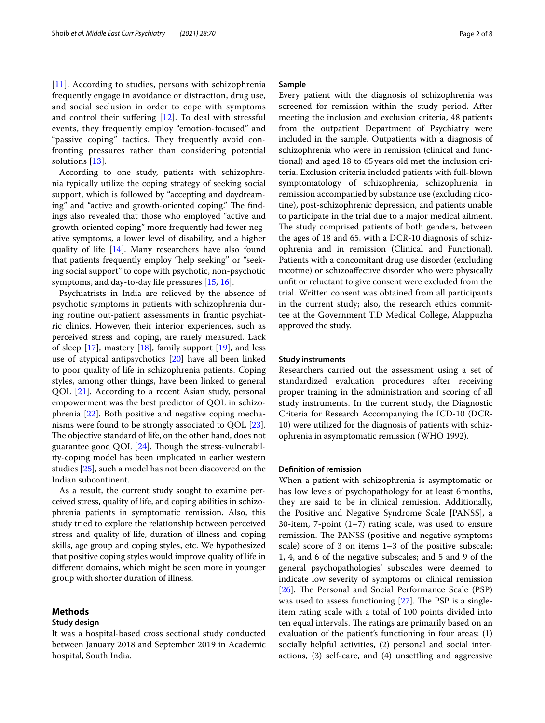[[11](#page-6-10)]. According to studies, persons with schizophrenia frequently engage in avoidance or distraction, drug use, and social seclusion in order to cope with symptoms and control their sufering [[12](#page-6-11)]. To deal with stressful events, they frequently employ "emotion-focused" and "passive coping" tactics. They frequently avoid confronting pressures rather than considering potential solutions [[13\]](#page-6-12).

According to one study, patients with schizophrenia typically utilize the coping strategy of seeking social support, which is followed by "accepting and daydreaming" and "active and growth-oriented coping." The findings also revealed that those who employed "active and growth-oriented coping" more frequently had fewer negative symptoms, a lower level of disability, and a higher quality of life [[14\]](#page-6-13). Many researchers have also found that patients frequently employ "help seeking" or "seeking social support" to cope with psychotic, non-psychotic symptoms, and day-to-day life pressures [\[15](#page-6-14), [16\]](#page-6-15).

Psychiatrists in India are relieved by the absence of psychotic symptoms in patients with schizophrenia during routine out-patient assessments in frantic psychiatric clinics. However, their interior experiences, such as perceived stress and coping, are rarely measured. Lack of sleep  $[17]$  $[17]$ , mastery  $[18]$ , family support  $[19]$  $[19]$ , and less use of atypical antipsychotics [[20\]](#page-6-19) have all been linked to poor quality of life in schizophrenia patients. Coping styles, among other things, have been linked to general QOL [[21\]](#page-6-20). According to a recent Asian study, personal empowerment was the best predictor of QOL in schizophrenia [[22\]](#page-6-21). Both positive and negative coping mechanisms were found to be strongly associated to QOL [\[23](#page-6-22)]. The objective standard of life, on the other hand, does not guarantee good QOL  $[24]$  $[24]$ . Though the stress-vulnerability-coping model has been implicated in earlier western studies [[25\]](#page-6-24), such a model has not been discovered on the Indian subcontinent.

As a result, the current study sought to examine perceived stress, quality of life, and coping abilities in schizophrenia patients in symptomatic remission. Also, this study tried to explore the relationship between perceived stress and quality of life, duration of illness and coping skills, age group and coping styles, etc. We hypothesized that positive coping styles would improve quality of life in diferent domains, which might be seen more in younger group with shorter duration of illness.

#### **Methods**

#### **Study design**

It was a hospital-based cross sectional study conducted between January 2018 and September 2019 in Academic hospital, South India.

# **Sample**

Every patient with the diagnosis of schizophrenia was screened for remission within the study period. After meeting the inclusion and exclusion criteria, 48 patients from the outpatient Department of Psychiatry were included in the sample. Outpatients with a diagnosis of schizophrenia who were in remission (clinical and functional) and aged 18 to 65 years old met the inclusion criteria. Exclusion criteria included patients with full-blown symptomatology of schizophrenia, schizophrenia in remission accompanied by substance use (excluding nicotine), post-schizophrenic depression, and patients unable to participate in the trial due to a major medical ailment. The study comprised patients of both genders, between the ages of 18 and 65, with a DCR-10 diagnosis of schizophrenia and in remission (Clinical and Functional). Patients with a concomitant drug use disorder (excluding nicotine) or schizoafective disorder who were physically unft or reluctant to give consent were excluded from the trial. Written consent was obtained from all participants in the current study; also, the research ethics committee at the Government T.D Medical College, Alappuzha approved the study.

#### **Study instruments**

Researchers carried out the assessment using a set of standardized evaluation procedures after receiving proper training in the administration and scoring of all study instruments. In the current study, the Diagnostic Criteria for Research Accompanying the ICD-10 (DCR-10) were utilized for the diagnosis of patients with schizophrenia in asymptomatic remission (WHO 1992).

#### **Defnition of remission**

When a patient with schizophrenia is asymptomatic or has low levels of psychopathology for at least 6months, they are said to be in clinical remission. Additionally, the Positive and Negative Syndrome Scale [PANSS], a 30-item, 7-point  $(1-7)$  rating scale, was used to ensure remission. The PANSS (positive and negative symptoms scale) score of 3 on items 1–3 of the positive subscale; 1, 4, and 6 of the negative subscales; and 5 and 9 of the general psychopathologies' subscales were deemed to indicate low severity of symptoms or clinical remission [[26\]](#page-6-25). The Personal and Social Performance Scale (PSP) was used to assess functioning  $[27]$ . The PSP is a singleitem rating scale with a total of 100 points divided into ten equal intervals. The ratings are primarily based on an evaluation of the patient's functioning in four areas: (1) socially helpful activities, (2) personal and social interactions, (3) self-care, and (4) unsettling and aggressive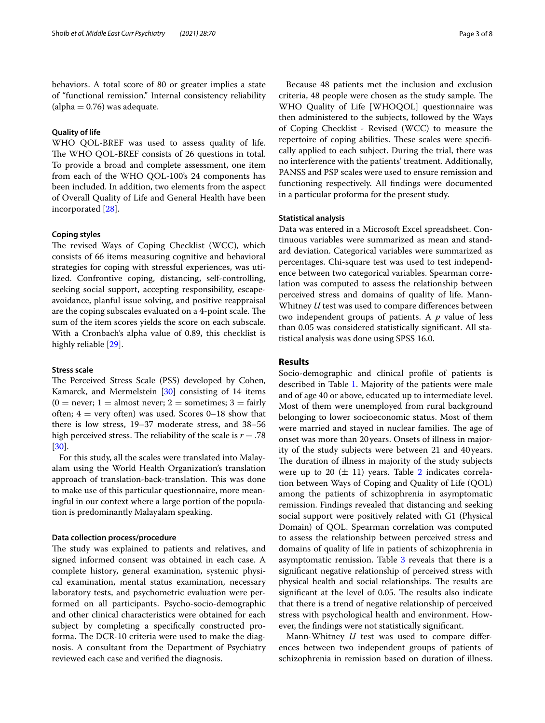behaviors. A total score of 80 or greater implies a state of "functional remission." Internal consistency reliability  $\alpha$  (alpha = 0.76) was adequate.

#### **Quality of life**

WHO QOL-BREF was used to assess quality of life. The WHO QOL-BREF consists of 26 questions in total. To provide a broad and complete assessment, one item from each of the WHO QOL-100's 24 components has been included. In addition, two elements from the aspect of Overall Quality of Life and General Health have been incorporated [\[28](#page-7-1)].

#### **Coping styles**

The revised Ways of Coping Checklist (WCC), which consists of 66 items measuring cognitive and behavioral strategies for coping with stressful experiences, was utilized. Confrontive coping, distancing, self-controlling, seeking social support, accepting responsibility, escapeavoidance, planful issue solving, and positive reappraisal are the coping subscales evaluated on a 4-point scale. The sum of the item scores yields the score on each subscale. With a Cronbach's alpha value of 0.89, this checklist is highly reliable [[29](#page-7-2)].

#### **Stress scale**

The Perceived Stress Scale (PSS) developed by Cohen, Kamarck, and Mermelstein [\[30](#page-7-3)] consisting of 14 items  $(0 = never; 1 = almost never; 2 = sometimes; 3 = fairly)$ often;  $4 = \text{very often}$  was used. Scores 0–18 show that there is low stress, 19–37 moderate stress, and 38–56 high perceived stress. The reliability of the scale is  $r = .78$ [[30\]](#page-7-3).

For this study, all the scales were translated into Malayalam using the World Health Organization's translation approach of translation-back-translation. This was done to make use of this particular questionnaire, more meaningful in our context where a large portion of the population is predominantly Malayalam speaking.

#### **Data collection process/procedure**

The study was explained to patients and relatives, and signed informed consent was obtained in each case. A complete history, general examination, systemic physical examination, mental status examination, necessary laboratory tests, and psychometric evaluation were performed on all participants. Psycho-socio-demographic and other clinical characteristics were obtained for each subject by completing a specifcally constructed proforma. The DCR-10 criteria were used to make the diagnosis. A consultant from the Department of Psychiatry reviewed each case and verifed the diagnosis.

Because 48 patients met the inclusion and exclusion criteria, 48 people were chosen as the study sample. The WHO Quality of Life [WHOQOL] questionnaire was then administered to the subjects, followed by the Ways of Coping Checklist - Revised (WCC) to measure the repertoire of coping abilities. These scales were specifically applied to each subject. During the trial, there was no interference with the patients' treatment. Additionally, PANSS and PSP scales were used to ensure remission and functioning respectively. All fndings were documented in a particular proforma for the present study.

#### **Statistical analysis**

Data was entered in a Microsoft Excel spreadsheet. Continuous variables were summarized as mean and standard deviation. Categorical variables were summarized as percentages. Chi-square test was used to test independence between two categorical variables. Spearman correlation was computed to assess the relationship between perceived stress and domains of quality of life. Mann-Whitney *U* test was used to compare diferences between two independent groups of patients. A *p* value of less than 0.05 was considered statistically signifcant. All statistical analysis was done using SPSS 16.0.

#### **Results**

Socio-demographic and clinical profle of patients is described in Table [1](#page-3-0). Majority of the patients were male and of age 40 or above, educated up to intermediate level. Most of them were unemployed from rural background belonging to lower socioeconomic status. Most of them were married and stayed in nuclear families. The age of onset was more than 20years. Onsets of illness in majority of the study subjects were between 21 and 40years. The duration of illness in majority of the study subjects were up to 20  $(\pm 11)$  years. Table [2](#page-3-1) indicates correlation between Ways of Coping and Quality of Life (QOL) among the patients of schizophrenia in asymptomatic remission. Findings revealed that distancing and seeking social support were positively related with G1 (Physical Domain) of QOL. Spearman correlation was computed to assess the relationship between perceived stress and domains of quality of life in patients of schizophrenia in asymptomatic remission. Table  $3$  reveals that there is a signifcant negative relationship of perceived stress with physical health and social relationships. The results are significant at the level of 0.05. The results also indicate that there is a trend of negative relationship of perceived stress with psychological health and environment. However, the fndings were not statistically signifcant.

Mann-Whitney *U* test was used to compare diferences between two independent groups of patients of schizophrenia in remission based on duration of illness.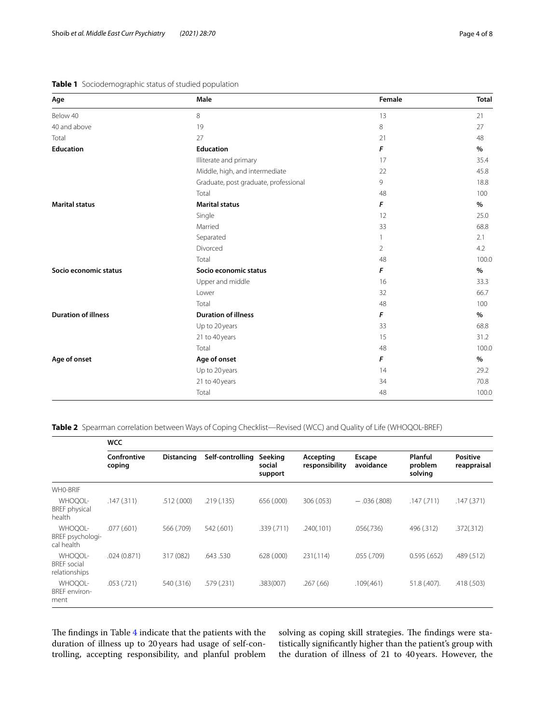## <span id="page-3-0"></span>**Table 1** Sociodemographic status of studied population

| Age                        | Male                                  | Female         | <b>Total</b> |
|----------------------------|---------------------------------------|----------------|--------------|
| Below 40                   | $\,8\,$                               | 13             | 21           |
| 40 and above               | 19                                    | $\,8\,$        | 27           |
| Total                      | 27                                    | 21             | 48           |
| <b>Education</b>           | <b>Education</b>                      | F              | $\%$         |
|                            | Illiterate and primary                | 17             | 35.4         |
|                            | Middle, high, and intermediate        | 22             | 45.8         |
|                            | Graduate, post graduate, professional | 9              | 18.8         |
|                            | Total                                 | 48             | 100          |
| <b>Marital status</b>      | <b>Marital status</b>                 | F              | %            |
|                            | Single                                | 12             | 25.0         |
|                            | Married                               | 33             | 68.8         |
|                            | Separated                             | 1              | 2.1          |
|                            | Divorced                              | $\overline{2}$ | 4.2          |
|                            | Total                                 | 48             | 100.0        |
| Socio economic status      | Socio economic status                 | F              | %            |
|                            | Upper and middle                      | 16             | 33.3         |
|                            | Lower                                 | 32             | 66.7         |
|                            | Total                                 | 48             | 100          |
| <b>Duration of illness</b> | <b>Duration of illness</b>            | F              | %            |
|                            | Up to 20 years                        | 33             | 68.8         |
|                            | 21 to 40 years                        | 15             | 31.2         |
|                            | Total                                 | 48             | 100.0        |
| Age of onset               | Age of onset                          | F              | $\%$         |
|                            | Up to 20 years                        | 14             | 29.2         |
|                            | 21 to 40 years                        | 34             | 70.8         |
|                            | Total                                 | 48             | 100.0        |

<span id="page-3-1"></span>**Table 2** Spearman correlation between Ways of Coping Checklist—Revised (WCC) and Quality of Life (WHOQOL-BREF)

|                                                | <b>WCC</b>            |                   |                  |                              |                             |                     |                               |                                |
|------------------------------------------------|-----------------------|-------------------|------------------|------------------------------|-----------------------------|---------------------|-------------------------------|--------------------------------|
|                                                | Confrontive<br>coping | <b>Distancing</b> | Self-controlling | Seeking<br>social<br>support | Accepting<br>responsibility | Escape<br>avoidance | Planful<br>problem<br>solving | <b>Positive</b><br>reappraisal |
| WHO-BRIF                                       |                       |                   |                  |                              |                             |                     |                               |                                |
| WHOQOL-<br><b>BREF</b> physical<br>health      | .147(.311)            | .512(.000)        | .219(.135)       | 656 (.000)                   | 306 (.053)                  | $-.036(.808)$       | .147(.711)                    | .147(.371)                     |
| WHOQOL-<br>BREF psychologi-<br>cal health      | .077(.601)            | 566 (.709)        | 542 (.601)       | .339(.711)                   | .240(.101)                  | .056(.736)          | 496 (.312)                    | .372(.312)                     |
| WHOQOL-<br><b>BREF</b> social<br>relationships | .024(0.871)           | 317 (082)         | .643.530         | 628 (.000)                   | 231(.114)                   | .055 (.709)         | 0.595(.652)                   | .489(.512)                     |
| WHOOOL-<br><b>BREF</b> environ-<br>ment        | .053(.721)            | 540 (.316)        | .579 (.231)      | .383(007)                    | .267(.66)                   | .109(.461)          | 51.8 (.407).                  | .418 (.503)                    |

The findings in Table [4](#page-4-1) indicate that the patients with the duration of illness up to 20years had usage of self-controlling, accepting responsibility, and planful problem solving as coping skill strategies. The findings were statistically signifcantly higher than the patient's group with the duration of illness of 21 to 40years. However, the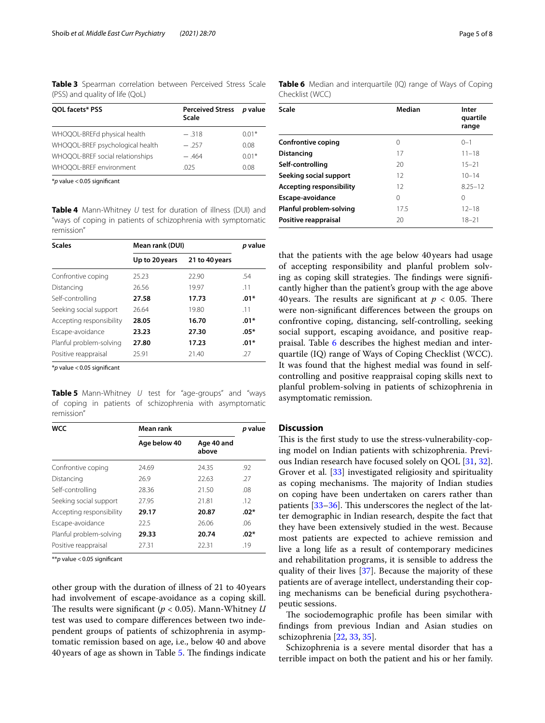<span id="page-4-0"></span>**Table 3** Spearman correlation between Perceived Stress Scale (PSS) and quality of life (QoL)

| QOL facets* PSS                  | Perceived Stress p value<br>Scale |         |  |
|----------------------------------|-----------------------------------|---------|--|
| WHOQOL-BREFd physical health     | $-318$                            | $0.01*$ |  |
| WHOQOL-BREF psychological health | $-257$                            | 0.08    |  |
| WHOQOL-BREF social relationships | $-464$                            | $0.01*$ |  |
| WHOQOL-BREF environment          | .025                              | 0.08    |  |

\**p* value <0.05 signifcant

<span id="page-4-1"></span>**Table 4** Mann-Whitney *U* test for duration of illness (DUI) and "ways of coping in patients of schizophrenia with symptomatic remission"

| <b>Scales</b>            | Mean rank (DUI) | <i>p</i> value |        |  |
|--------------------------|-----------------|----------------|--------|--|
|                          | Up to 20 years  | 21 to 40 years |        |  |
| Confrontive coping       | 25.23           | 22.90          | .54    |  |
| Distancing               | 26.56           | 19.97          | .11    |  |
| Self-controlling         | 27.58           | 17.73          | $.01*$ |  |
| Seeking social support   | 26.64           | 19.80          | .11    |  |
| Accepting responsibility | 28.05           | 16.70          | $.01*$ |  |
| Escape-avoidance         | 23.23           | 27.30          | $.05*$ |  |
| Planful problem-solving  | 27.80           | 17.23          | $.01*$ |  |
| Positive reappraisal     | 25.91           | 21.40          | .27    |  |

\**p* value <0.05 signifcant

<span id="page-4-2"></span>**Table 5** Mann-Whitney *U* test for "age-groups" and "ways of coping in patients of schizophrenia with asymptomatic remission"

| <b>WCC</b>               | Mean rank    | <i>p</i> value      |        |  |
|--------------------------|--------------|---------------------|--------|--|
|                          | Age below 40 | Age 40 and<br>above |        |  |
| Confrontive coping       | 24.69        | 24.35               | .92    |  |
| Distancing               | 26.9         | 22.63               | .27    |  |
| Self-controlling         | 28.36        | 21.50               | .08    |  |
| Seeking social support   | 27.95        | 21.81               | .12    |  |
| Accepting responsibility | 29.17        | 20.87               | $.02*$ |  |
| Escape-avoidance         | 22.5         | 26.06               | .06    |  |
| Planful problem-solving  | 29.33        | 20.74               | $.02*$ |  |
| Positive reappraisal     | 27.31        | 22.31               | .19    |  |

\*\**p* value <0.05 signifcant

other group with the duration of illness of 21 to 40years had involvement of escape-avoidance as a coping skill. The results were significant ( $p < 0.05$ ). Mann-Whitney *U* test was used to compare diferences between two independent groups of patients of schizophrenia in asymptomatic remission based on age, i.e., below 40 and above 40 years of age as shown in Table [5.](#page-4-2) The findings indicate <span id="page-4-3"></span>**Table 6** Median and interquartile (IQ) range of Ways of Coping Checklist (WCC)

| Scale                           | Median | Inter<br>quartile<br>range |
|---------------------------------|--------|----------------------------|
|                                 |        |                            |
| <b>Confrontive coping</b>       | 0      | $0 - 1$                    |
| Distancing                      | 17     | $11 - 18$                  |
| Self-controlling                | 20     | $15 - 21$                  |
| Seeking social support          | 12     | $10 - 14$                  |
| <b>Accepting responsibility</b> | 12     | $8.25 - 12$                |
| Escape-avoidance                | 0      | 0                          |
| Planful problem-solving         | 17.5   | $12 - 18$                  |
| Positive reappraisal            | 20     | $18 - 21$                  |

that the patients with the age below 40years had usage of accepting responsibility and planful problem solving as coping skill strategies. The findings were significantly higher than the patient's group with the age above 40 years. The results are significant at  $p < 0.05$ . There were non-signifcant diferences between the groups on confrontive coping, distancing, self-controlling, seeking social support, escaping avoidance, and positive reappraisal. Table [6](#page-4-3) describes the highest median and interquartile (IQ) range of Ways of Coping Checklist (WCC). It was found that the highest medial was found in selfcontrolling and positive reappraisal coping skills next to planful problem-solving in patients of schizophrenia in asymptomatic remission.

# **Discussion**

This is the first study to use the stress-vulnerability-coping model on Indian patients with schizophrenia. Previous Indian research have focused solely on QOL [[31,](#page-7-4) [32](#page-7-5)]. Grover et al. [[33\]](#page-7-6) investigated religiosity and spirituality as coping mechanisms. The majority of Indian studies on coping have been undertaken on carers rather than patients  $[33-36]$  $[33-36]$ . This underscores the neglect of the latter demographic in Indian research, despite the fact that they have been extensively studied in the west. Because most patients are expected to achieve remission and live a long life as a result of contemporary medicines and rehabilitation programs, it is sensible to address the quality of their lives [\[37](#page-7-8)]. Because the majority of these patients are of average intellect, understanding their coping mechanisms can be benefcial during psychotherapeutic sessions.

The sociodemographic profile has been similar with fndings from previous Indian and Asian studies on schizophrenia [[22](#page-6-21), [33,](#page-7-6) [35](#page-7-9)].

Schizophrenia is a severe mental disorder that has a terrible impact on both the patient and his or her family.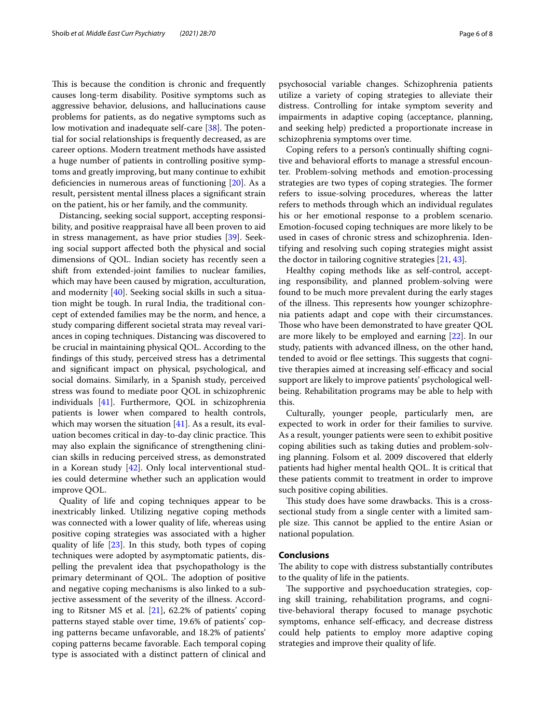This is because the condition is chronic and frequently causes long-term disability. Positive symptoms such as aggressive behavior, delusions, and hallucinations cause problems for patients, as do negative symptoms such as low motivation and inadequate self-care [\[38](#page-7-10)]. The potential for social relationships is frequently decreased, as are career options. Modern treatment methods have assisted a huge number of patients in controlling positive symptoms and greatly improving, but many continue to exhibit deficiencies in numerous areas of functioning [\[20](#page-6-19)]. As a result, persistent mental illness places a signifcant strain on the patient, his or her family, and the community.

Distancing, seeking social support, accepting responsibility, and positive reappraisal have all been proven to aid in stress management, as have prior studies [\[39](#page-7-11)]. Seeking social support afected both the physical and social dimensions of QOL. Indian society has recently seen a shift from extended-joint families to nuclear families, which may have been caused by migration, acculturation, and modernity [\[40\]](#page-7-12). Seeking social skills in such a situation might be tough. In rural India, the traditional concept of extended families may be the norm, and hence, a study comparing diferent societal strata may reveal variances in coping techniques. Distancing was discovered to be crucial in maintaining physical QOL. According to the fndings of this study, perceived stress has a detrimental and signifcant impact on physical, psychological, and social domains. Similarly, in a Spanish study, perceived stress was found to mediate poor QOL in schizophrenic individuals [[41](#page-7-13)]. Furthermore, QOL in schizophrenia patients is lower when compared to health controls, which may worsen the situation  $[41]$  $[41]$ . As a result, its evaluation becomes critical in day-to-day clinic practice. This may also explain the signifcance of strengthening clinician skills in reducing perceived stress, as demonstrated in a Korean study [[42](#page-7-14)]. Only local interventional studies could determine whether such an application would improve QOL.

Quality of life and coping techniques appear to be inextricably linked. Utilizing negative coping methods was connected with a lower quality of life, whereas using positive coping strategies was associated with a higher quality of life [\[23](#page-6-22)]. In this study, both types of coping techniques were adopted by asymptomatic patients, dispelling the prevalent idea that psychopathology is the primary determinant of QOL. The adoption of positive and negative coping mechanisms is also linked to a subjective assessment of the severity of the illness. According to Ritsner MS et al. [\[21](#page-6-20)], 62.2% of patients' coping patterns stayed stable over time, 19.6% of patients' coping patterns became unfavorable, and 18.2% of patients' coping patterns became favorable. Each temporal coping type is associated with a distinct pattern of clinical and psychosocial variable changes. Schizophrenia patients utilize a variety of coping strategies to alleviate their distress. Controlling for intake symptom severity and impairments in adaptive coping (acceptance, planning, and seeking help) predicted a proportionate increase in schizophrenia symptoms over time.

Coping refers to a person's continually shifting cognitive and behavioral efforts to manage a stressful encounter. Problem-solving methods and emotion-processing strategies are two types of coping strategies. The former refers to issue-solving procedures, whereas the latter refers to methods through which an individual regulates his or her emotional response to a problem scenario. Emotion-focused coping techniques are more likely to be used in cases of chronic stress and schizophrenia. Identifying and resolving such coping strategies might assist the doctor in tailoring cognitive strategies [[21,](#page-6-20) [43\]](#page-7-15).

Healthy coping methods like as self-control, accepting responsibility, and planned problem-solving were found to be much more prevalent during the early stages of the illness. This represents how younger schizophrenia patients adapt and cope with their circumstances. Those who have been demonstrated to have greater QOL are more likely to be employed and earning [[22\]](#page-6-21). In our study, patients with advanced illness, on the other hand, tended to avoid or flee settings. This suggests that cognitive therapies aimed at increasing self-efficacy and social support are likely to improve patients' psychological wellbeing. Rehabilitation programs may be able to help with this.

Culturally, younger people, particularly men, are expected to work in order for their families to survive. As a result, younger patients were seen to exhibit positive coping abilities such as taking duties and problem-solving planning. Folsom et al. 2009 discovered that elderly patients had higher mental health QOL. It is critical that these patients commit to treatment in order to improve such positive coping abilities.

This study does have some drawbacks. This is a crosssectional study from a single center with a limited sample size. This cannot be applied to the entire Asian or national population.

#### **Conclusions**

The ability to cope with distress substantially contributes to the quality of life in the patients.

The supportive and psychoeducation strategies, coping skill training, rehabilitation programs, and cognitive-behavioral therapy focused to manage psychotic symptoms, enhance self-efficacy, and decrease distress could help patients to employ more adaptive coping strategies and improve their quality of life.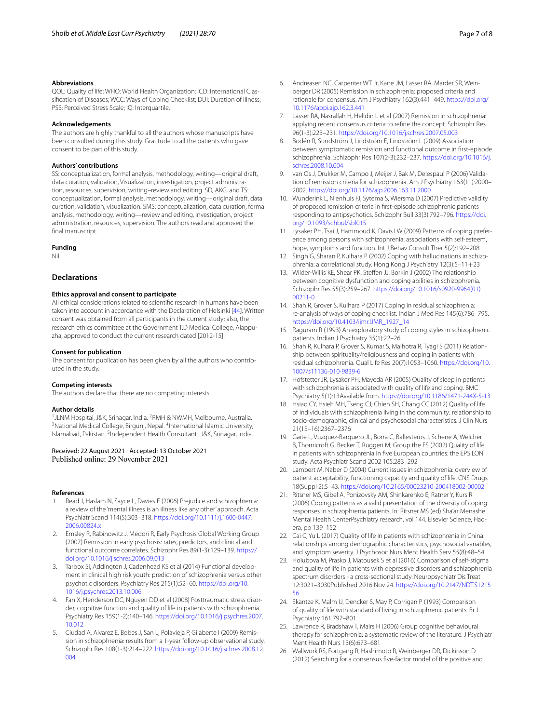#### **Abbreviations**

QOL: Quality of life; WHO: World Health Organization; ICD: International Classifcation of Diseases; WCC: Ways of Coping Checklist; DUI: Duration of illness; PSS: Perceived Stress Scale; IQ: Interquartile.

#### **Acknowledgements**

The authors are highly thankful to all the authors whose manuscripts have been consulted during this study. Gratitude to all the patients who gave consent to be part of this study.

#### **Authors' contributions**

SS: conceptualization, formal analysis, methodology, writing—original draft, data curation, validation, Visualization, investigation, project administration, resources, supervision, writing–review and editing. SD, AKG, and TS: conceptualization, formal analysis, methodology, writing—original draft, data curation, validation, visualization. SMS: conceptualization, data curation, formal analysis, methodology, writing—review and editing, investigation, project administration, resources, supervision. The authors read and approved the final manuscript.

#### **Funding**

Nil

## **Declarations**

#### **Ethics approval and consent to participate**

All ethical considerations related to scientifc research in humans have been taken into account in accordance with the Declaration of Helsinki [\[44](#page-7-16)]. Written consent was obtained from all participants in the current study; also, the research ethics committee at the Government T.D Medical College, Alappuzha, approved to conduct the current research dated [2012-15].

#### **Consent for publication**

The consent for publication has been given by all the authors who contributed in the study.

#### **Competing interests**

The authors declare that there are no competing interests.

#### **Author details**

<sup>1</sup> JLNM Hospital, J&K, Srinagar, India. <sup>2</sup>RMH & NWMH, Melbourne, Australia.<br><sup>3</sup>National Medical College, Birquni, Nepal. <sup>4</sup>International Islamic University. National Medical College, Birgunj, Nepal. <sup>4</sup>International Islamic University, Islamabad, Pakistan. <sup>5</sup>Independent Health Consultant, J&K, Srinagar, India.

# Received: 22 August 2021 Accepted: 13 October 2021

#### **References**

- <span id="page-6-0"></span>1. Read J, Haslam N, Sayce L, Davies E (2006) Prejudice and schizophrenia: a review of the 'mental illness is an illness like any other' approach. Acta Psychiatr Scand 114(5):303–318. [https://doi.org/10.1111/j.1600-0447.](https://doi.org/10.1111/j.1600-0447.2006.00824.x) [2006.00824.x](https://doi.org/10.1111/j.1600-0447.2006.00824.x)
- <span id="page-6-1"></span>2. Emsley R, Rabinowitz J, Medori R, Early Psychosis Global Working Group (2007) Remission in early psychosis: rates, predictors, and clinical and functional outcome correlates. Schizophr Res 89(1-3):129–139. [https://](https://doi.org/10.1016/j.schres.2006.09.013) [doi.org/10.1016/j.schres.2006.09.013](https://doi.org/10.1016/j.schres.2006.09.013)
- <span id="page-6-2"></span>3. Tarbox SI, Addington J, Cadenhead KS et al (2014) Functional development in clinical high risk youth: prediction of schizophrenia versus other psychotic disorders. Psychiatry Res 215(1):52–60. [https://doi.org/10.](https://doi.org/10.1016/j.psychres.2013.10.006) [1016/j.psychres.2013.10.006](https://doi.org/10.1016/j.psychres.2013.10.006)
- <span id="page-6-3"></span>4. Fan X, Henderson DC, Nguyen DD et al (2008) Posttraumatic stress disorder, cognitive function and quality of life in patients with schizophrenia. Psychiatry Res 159(1-2):140–146. [https://doi.org/10.1016/j.psychres.2007.](https://doi.org/10.1016/j.psychres.2007.10.012) [10.012](https://doi.org/10.1016/j.psychres.2007.10.012)
- <span id="page-6-4"></span>5. Ciudad A, Alvarez E, Bobes J, San L, Polavieja P, Gilaberte I (2009) Remission in schizophrenia: results from a 1-year follow-up observational study. Schizophr Res 108(1-3):214–222. [https://doi.org/10.1016/j.schres.2008.12.](https://doi.org/10.1016/j.schres.2008.12.004) [004](https://doi.org/10.1016/j.schres.2008.12.004)
- <span id="page-6-5"></span>6. Andreasen NC, Carpenter WT Jr, Kane JM, Lasser RA, Marder SR, Weinberger DR (2005) Remission in schizophrenia: proposed criteria and rationale for consensus. Am J Psychiatry 162(3):441–449. [https://doi.org/](https://doi.org/10.1176/appi.ajp.162.3.441) [10.1176/appi.ajp.162.3.441](https://doi.org/10.1176/appi.ajp.162.3.441)
- <span id="page-6-6"></span>7. Lasser RA, Nasrallah H, Helldin L et al (2007) Remission in schizophrenia: applying recent consensus criteria to refne the concept. Schizophr Res 96(1-3):223–231. <https://doi.org/10.1016/j.schres.2007.05.003>
- <span id="page-6-7"></span>8. Bodén R, Sundström J, Lindström E, Lindström L (2009) Association between symptomatic remission and functional outcome in frst-episode schizophrenia. Schizophr Res 107(2-3):232–237. [https://doi.org/10.1016/j.](https://doi.org/10.1016/j.schres.2008.10.004) [schres.2008.10.004](https://doi.org/10.1016/j.schres.2008.10.004)
- <span id="page-6-8"></span>9. van Os J, Drukker M, Campo J, Meijer J, Bak M, Delespaul P (2006) Validation of remission criteria for schizophrenia. Am J Psychiatry 163(11):2000– 2002.<https://doi.org/10.1176/ajp.2006.163.11.2000>
- <span id="page-6-9"></span>10. Wunderink L, Nienhuis FJ, Sytema S, Wiersma D (2007) Predictive validity of proposed remission criteria in frst-episode schizophrenic patients responding to antipsychotics. Schizophr Bull 33(3):792–796. [https://doi.](https://doi.org/10.1093/schbul/sbl015) [org/10.1093/schbul/sbl015](https://doi.org/10.1093/schbul/sbl015)
- <span id="page-6-10"></span>11. Lysaker PH, Tsai J, Hammoud K, Davis LW (2009) Patterns of coping preference among persons with schizophrenia: associations with self-esteem, hope, symptoms and function. Int J Behav Consult Ther 5(2):192–208
- <span id="page-6-11"></span>12. Singh G, Sharan P, Kulhara P (2002) Coping with hallucinations in schizophrenia: a correlational study. Hong Kong J Psychiatry 12(3):5–11+23
- <span id="page-6-12"></span>13. Wilder-Willis KE, Shear PK, Stefen JJ, Borkin J (2002) The relationship between cognitive dysfunction and coping abilities in schizophrenia. Schizophr Res 55(3):259–267. [https://doi.org/10.1016/s0920-9964\(01\)](https://doi.org/10.1016/s0920-9964(01)00211-0) [00211-0](https://doi.org/10.1016/s0920-9964(01)00211-0)
- <span id="page-6-13"></span>14. Shah R, Grover S, Kulhara P (2017) Coping in residual schizophrenia: re-analysis of ways of coping checklist. Indian J Med Res 145(6):786–795. [https://doi.org/10.4103/ijmr.IJMR\\_1927\\_14](https://doi.org/10.4103/ijmr.IJMR_1927_14)
- <span id="page-6-14"></span>15. Raguram R (1993) An exploratory study of coping styles in schizophrenic patients. Indian J Psychiatry 35(1):22–26
- <span id="page-6-15"></span>16. Shah R, Kulhara P, Grover S, Kumar S, Malhotra R, Tyagi S (2011) Relationship between spirituality/religiousness and coping in patients with residual schizophrenia. Qual Life Res 20(7):1053–1060. [https://doi.org/10.](https://doi.org/10.1007/s11136-010-9839-6) [1007/s11136-010-9839-6](https://doi.org/10.1007/s11136-010-9839-6)
- <span id="page-6-16"></span>17. Hofstetter JR, Lysaker PH, Mayeda AR (2005) Quality of sleep in patients with schizophrenia is associated with quality of life and coping. BMC Psychiatry 5(1):13Available from.<https://doi.org/10.1186/1471-244X-5-13>
- <span id="page-6-17"></span>18. Hsiao CY, Hsieh MH, Tseng CJ, Chien SH, Chang CC (2012) Quality of life of individuals with schizophrenia living in the community: relationship to socio-demographic, clinical and psychosocial characteristics. J Clin Nurs 21(15–16):2367–2376
- <span id="page-6-18"></span>19. Gaite L, Vμzquez-Barquero JL, Borra C, Ballesteros J, Schene A, Welcher B, Thornicroft G, Becker T, Ruggeri M, Group the ES (2002) Quality of life in patients with schizophrenia in fve European countries: the EPSILON study. Acta Psychiatr Scand 2002 105:283–292
- <span id="page-6-19"></span>20. Lambert M, Naber D (2004) Current issues in schizophrenia: overview of patient acceptability, functioning capacity and quality of life. CNS Drugs 18(Suppl 2):5–43. <https://doi.org/10.2165/00023210-200418002-00002>
- <span id="page-6-20"></span>21. Ritsner MS, Gibel A, Ponizovsky AM, Shinkarenko E, Ratner Y, Kurs R (2006) Coping patterns as a valid presentation of the diversity of coping responses in schizophrenia patients. In: Ritsner MS (ed) Sha'ar Menashe Mental Health CenterPsychiatry research, vol 144. Elsevier Science, Hadera, pp 139–152
- <span id="page-6-21"></span>22. Cai C, Yu L (2017) Quality of life in patients with schizophrenia in China: relationships among demographic characteristics, psychosocial variables, and symptom severity. J Psychosoc Nurs Ment Health Serv 55(8):48–54
- <span id="page-6-22"></span>23. Holubova M, Prasko J, Matousek S et al (2016) Comparison of self-stigma and quality of life in patients with depressive disorders and schizophrenia spectrum disorders - a cross-sectional study. Neuropsychiatr Dis Treat 12:3021–3030Published 2016 Nov 24. [https://doi.org/10.2147/NDT.S1215](https://doi.org/10.2147/NDT.S121556) [56](https://doi.org/10.2147/NDT.S121556)
- <span id="page-6-23"></span>24. Skantze K, Malm U, Dencker S, May P, Corrigan P (1993) Comparison of quality of life with standard of living in schizophrenic patients. Br J Psychiatry 161:797–801
- <span id="page-6-24"></span>25. Lawrence R, Bradshaw T, Mairs H (2006) Group cognitive behavioural therapy for schizophrenia: a systematic review of the literature. J Psychiatr Ment Health Nurs 13(6):673–681
- <span id="page-6-25"></span>26. Wallwork RS, Fortgang R, Hashimoto R, Weinberger DR, Dickinson D (2012) Searching for a consensus fve-factor model of the positive and